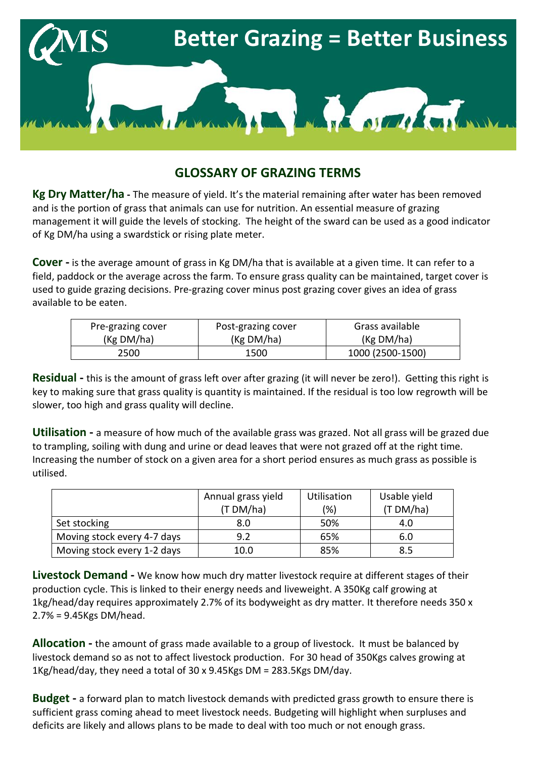

## **GLOSSARY OF GRAZING TERMS**

**Kg Dry Matter/ha -** The measure of yield. It's the material remaining after water has been removed and is the portion of grass that animals can use for nutrition. An essential measure of grazing management it will guide the levels of stocking. The height of the sward can be used as a good indicator of Kg DM/ha using a swardstick or rising plate meter.

**Cover -** is the average amount of grass in Kg DM/ha that is available at a given time. It can refer to a field, paddock or the average across the farm. To ensure grass quality can be maintained, target cover is used to guide grazing decisions. Pre-grazing cover minus post grazing cover gives an idea of grass available to be eaten.

| Pre-grazing cover | Post-grazing cover | Grass available  |  |
|-------------------|--------------------|------------------|--|
| (Kg DM/ha)        | (Kg DM/ha)         | (Kg DM/ha)       |  |
| 2500              | 1500               | 1000 (2500-1500) |  |

**Residual -** this is the amount of grass left over after grazing (it will never be zero!). Getting this right is key to making sure that grass quality is quantity is maintained. If the residual is too low regrowth will be slower, too high and grass quality will decline.

**Utilisation -** a measure of how much of the available grass was grazed. Not all grass will be grazed due to trampling, soiling with dung and urine or dead leaves that were not grazed off at the right time. Increasing the number of stock on a given area for a short period ensures as much grass as possible is utilised.

|                             | Annual grass yield | <b>Utilisation</b> | Usable yield |
|-----------------------------|--------------------|--------------------|--------------|
|                             | (T DM/ha)          | (%)                | (T DM/ha)    |
| Set stocking                | 8.0                | 50%                | 4.0          |
| Moving stock every 4-7 days | 9.2                | 65%                | 6.0          |
| Moving stock every 1-2 days | 10.0               | 85%                | 8.5          |

**Livestock Demand -** We know how much dry matter livestock require at different stages of their production cycle. This is linked to their energy needs and liveweight. A 350Kg calf growing at 1kg/head/day requires approximately 2.7% of its bodyweight as dry matter. It therefore needs 350 x 2.7% = 9.45Kgs DM/head.

**Allocation -** the amount of grass made available to a group of livestock. It must be balanced by livestock demand so as not to affect livestock production. For 30 head of 350Kgs calves growing at 1Kg/head/day, they need a total of 30 x 9.45Kgs DM = 283.5Kgs DM/day.

**Budget -** a forward plan to match livestock demands with predicted grass growth to ensure there is sufficient grass coming ahead to meet livestock needs. Budgeting will highlight when surpluses and deficits are likely and allows plans to be made to deal with too much or not enough grass.